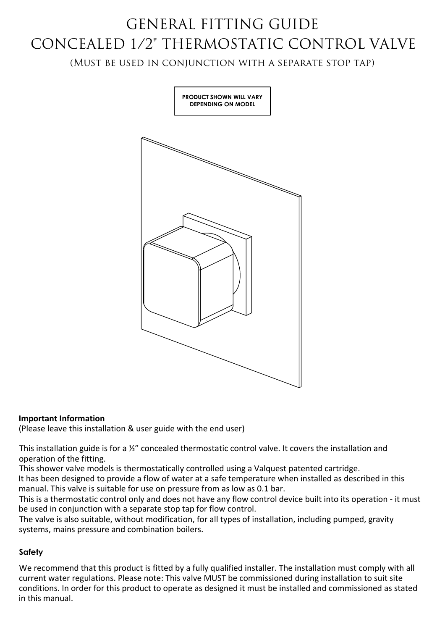# GENERAL FITTING GUIDE CONCEALED 1/2" THERMOSTATIC CONTROL VALVE

(Must be used in conjunction with a separate stop tap)



## **Important Information**

(Please leave this installation & user guide with the end user)

This installation guide is for a ½" concealed thermostatic control valve. It covers the installation and operation of the fitting.

This shower valve models is thermostatically controlled using a Valquest patented cartridge.

It has been designed to provide a flow of water at a safe temperature when installed as described in this manual. This valve is suitable for use on pressure from as low as 0.1 bar.

This is a thermostatic control only and does not have any flow control device built into its operation - it must be used in conjunction with a separate stop tap for flow control.

The valve is also suitable, without modification, for all types of installation, including pumped, gravity systems, mains pressure and combination boilers.

## **Safety**

We recommend that this product is fitted by a fully qualified installer. The installation must comply with all current water regulations. Please note: This valve MUST be commissioned during installation to suit site conditions. In order for this product to operate as designed it must be installed and commissioned as stated in this manual.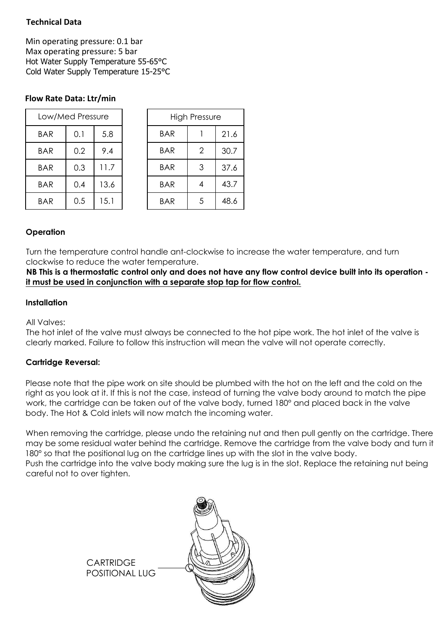# **Technical Data**

Min operating pressure: 0.1 bar Max operating pressure: 5 bar Hot Water Supply Temperature 55-65°C Cold Water Supply Temperature 15-25°C

# **Flow Rate Data: Ltr/min**

| Low/Med Pressure |     |      | <b>High Pressure</b> |                |      |
|------------------|-----|------|----------------------|----------------|------|
| <b>BAR</b>       | 0.1 | 5.8  | <b>BAR</b>           |                | 21.6 |
| <b>BAR</b>       | 0.2 | 9.4  | <b>BAR</b>           | $\overline{2}$ | 30.7 |
| <b>BAR</b>       | 0.3 | 11.7 | <b>BAR</b>           | 3              | 37.6 |
| <b>BAR</b>       | 0.4 | 13.6 | <b>BAR</b>           | 4              | 43.7 |
| <b>BAR</b>       | 0.5 | 15.1 | <b>BAR</b>           | 5              | 48.6 |

## **Operation**

Turn the temperature control handle ant-clockwise to increase the water temperature, and turn clockwise to reduce the water temperature.

**NB This is a thermostatic control only and does not have any flow control device built into its operation it must be used in conjunction with a separate stop tap for flow control.**

### **Installation**

#### All Valves:

The hot inlet of the valve must always be connected to the hot pipe work. The hot inlet of the valve is clearly marked. Failure to follow this instruction will mean the valve will not operate correctly.

## **Cartridge Reversal:**

Please note that the pipe work on site should be plumbed with the hot on the left and the cold on the right as you look at it. If this is not the case, instead of turning the valve body around to match the pipe work, the cartridge can be taken out of the valve body, turned 180° and placed back in the valve body. The Hot & Cold inlets will now match the incoming water.

When removing the cartridge, please undo the retaining nut and then pull gently on the cartridge. There may be some residual water behind the cartridge. Remove the cartridge from the valve body and turn it 180° so that the positional lug on the cartridge lines up with the slot in the valve body. Push the cartridge into the valve body making sure the lug is in the slot. Replace the retaining nut being careful not to over tighten.

> **CARTRIDGE** POSITIONAL LUG

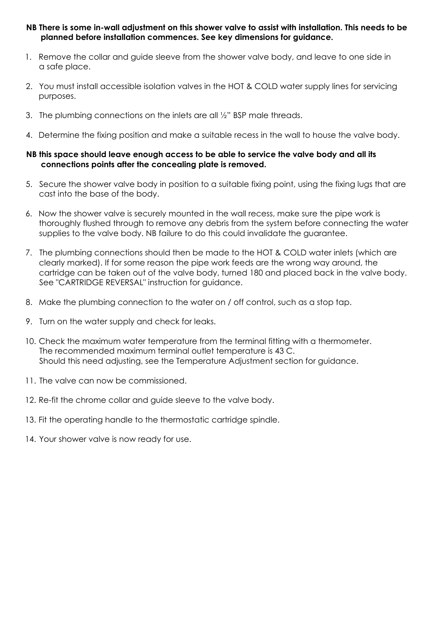#### **NB There is some in-wall adjustment on this shower valve to assist with installation. This needs to be planned before installation commences. See key dimensions for guidance.**

- 1. Remove the collar and guide sleeve from the shower valve body, and leave to one side in a safe place.
- 2. You must install accessible isolation valves in the HOT & COLD water supply lines for servicing purposes.
- 3. The plumbing connections on the inlets are all ½" BSP male threads.
- 4. Determine the fixing position and make a suitable recess in the wall to house the valve body.

#### **NB this space should leave enough access to be able to service the valve body and all its connections points after the concealing plate is removed.**

- 5. Secure the shower valve body in position to a suitable fixing point, using the fixing lugs that are cast into the base of the body.
- 6. Now the shower valve is securely mounted in the wall recess, make sure the pipe work is thoroughly flushed through to remove any debris from the system before connecting the water supplies to the valve body. NB failure to do this could invalidate the guarantee.
- 7. The plumbing connections should then be made to the HOT & COLD water inlets (which are clearly marked). If for some reason the pipe work feeds are the wrong way around, the cartridge can be taken out of the valve body, turned 180 and placed back in the valve body. See "CARTRIDGE REVERSAL" instruction for guidance.
- 8. Make the plumbing connection to the water on / off control, such as a stop tap.
- 9. Turn on the water supply and check for leaks.
- 10. Check the maximum water temperature from the terminal fitting with a thermometer. The recommended maximum terminal outlet temperature is 43 C. Should this need adjusting, see the Temperature Adjustment section for guidance.
- 11. The valve can now be commissioned.
- 12. Re-fit the chrome collar and guide sleeve to the valve body.
- 13. Fit the operating handle to the thermostatic cartridge spindle.
- 14. Your shower valve is now ready for use.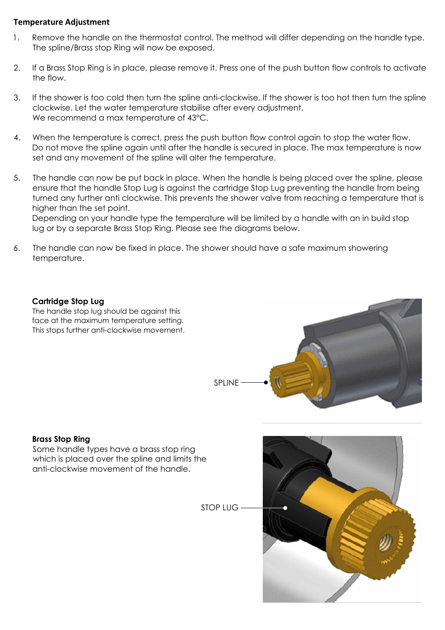### **Temperature Adjustment**

- 1. Remove the handle on the thermostat control. The method will differ depending on the handle type. The spline/Brass stop Ring will now be exposed.
- 2. If a Brass Stop Ring is in place, please remove it. Press one of the push button flow controls to activate the flow.
- 3. If the shower is too cold then turn the spline anti-clockwise. If the shower is too hot then turn the spline clockwise. Let the water temperature stabilise after every adjustment. We recommend a max temperature of 43 °C.
- 4. When the temperature is correct, press the push button flow control again to stop the water flow. Do not move the spline again until after the handle is secured in place. The max temperature is now set and any movement of the spline will alter the temperature.
- 5. The handle can now be put back in place. When the handle is being placed over the spline, please ensure that the handle Stop Lug is against the cartridge Stop Lug preventing the handle from being turned any further anti clockwise. This prevents the shower valve from reaching a temperature that is higher than the set point.

Depending on your handle type the temperature will be limited by a handle with an in build stop lug or by a separate Brass Stop Ring. Please see the diagrams below.

6. The handle can now be fixed in place. The shower should have a safe maximum showering temperature.

### **Cartridge Stop Lug**

The handle stop lug should be against this face at the maximum temperature setting. This stops further anti-clockwise movement.



## **Brass Stop Ring**

Some handle types have a brass stop ring which is placed over the spline and limits the anti-clockwise movement of the handle.